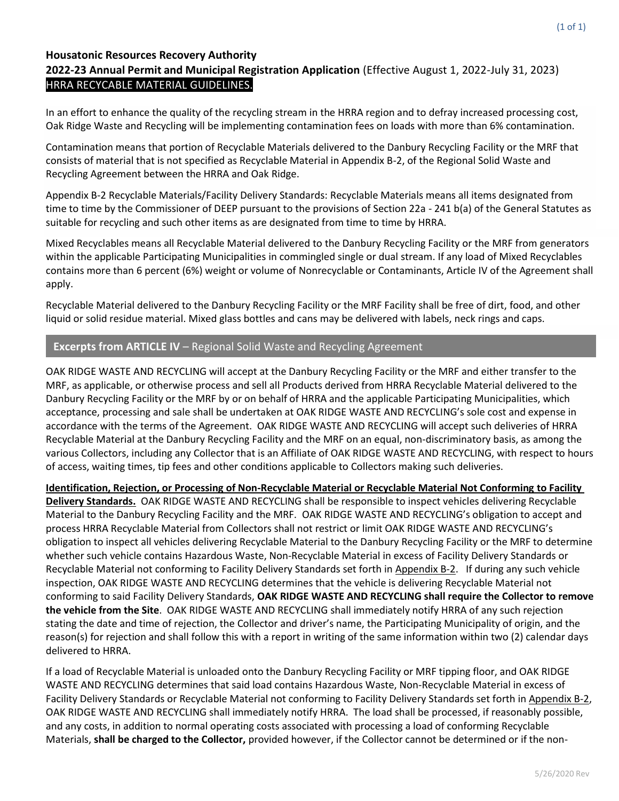#### **Housatonic Resources Recovery Authority**

# **2022-23 Annual Permit and Municipal Registration Application** (Effective August 1, 2022-July 31, 2023) HRRA RECYCABLE MATERIAL GUIDELINES.

In an effort to enhance the quality of the recycling stream in the HRRA region and to defray increased processing cost, Oak Ridge Waste and Recycling will be implementing contamination fees on loads with more than 6% contamination.

Contamination means that portion of Recyclable Materials delivered to the Danbury Recycling Facility or the MRF that consists of material that is not specified as Recyclable Material in Appendix B-2, of the Regional Solid Waste and Recycling Agreement between the HRRA and Oak Ridge.

Appendix B-2 Recyclable Materials/Facility Delivery Standards: Recyclable Materials means all items designated from time to time by the Commissioner of DEEP pursuant to the provisions of Section 22a - 241 b(a) of the General Statutes as suitable for recycling and such other items as are designated from time to time by HRRA.

Mixed Recyclables means all Recyclable Material delivered to the Danbury Recycling Facility or the MRF from generators within the applicable Participating Municipalities in commingled single or dual stream. If any load of Mixed Recyclables contains more than 6 percent (6%) weight or volume of Nonrecyclable or Contaminants, Article IV of the Agreement shall apply.

Recyclable Material delivered to the Danbury Recycling Facility or the MRF Facility shall be free of dirt, food, and other liquid or solid residue material. Mixed glass bottles and cans may be delivered with labels, neck rings and caps.

## **Excerpts from ARTICLE IV** – Regional Solid Waste and Recycling Agreement

OAK RIDGE WASTE AND RECYCLING will accept at the Danbury Recycling Facility or the MRF and either transfer to the MRF, as applicable, or otherwise process and sell all Products derived from HRRA Recyclable Material delivered to the Danbury Recycling Facility or the MRF by or on behalf of HRRA and the applicable Participating Municipalities, which acceptance, processing and sale shall be undertaken at OAK RIDGE WASTE AND RECYCLING's sole cost and expense in accordance with the terms of the Agreement. OAK RIDGE WASTE AND RECYCLING will accept such deliveries of HRRA Recyclable Material at the Danbury Recycling Facility and the MRF on an equal, non-discriminatory basis, as among the various Collectors, including any Collector that is an Affiliate of OAK RIDGE WASTE AND RECYCLING, with respect to hours of access, waiting times, tip fees and other conditions applicable to Collectors making such deliveries.

**Identification, Rejection, or Processing of Non-Recyclable Material or Recyclable Material Not Conforming to Facility Delivery Standards.** OAK RIDGE WASTE AND RECYCLING shall be responsible to inspect vehicles delivering Recyclable Material to the Danbury Recycling Facility and the MRF. OAK RIDGE WASTE AND RECYCLING's obligation to accept and process HRRA Recyclable Material from Collectors shall not restrict or limit OAK RIDGE WASTE AND RECYCLING's obligation to inspect all vehicles delivering Recyclable Material to the Danbury Recycling Facility or the MRF to determine whether such vehicle contains Hazardous Waste, Non-Recyclable Material in excess of Facility Delivery Standards or Recyclable Material not conforming to Facility Delivery Standards set forth in Appendix B-2. If during any such vehicle inspection, OAK RIDGE WASTE AND RECYCLING determines that the vehicle is delivering Recyclable Material not conforming to said Facility Delivery Standards, **OAK RIDGE WASTE AND RECYCLING shall require the Collector to remove the vehicle from the Site**. OAK RIDGE WASTE AND RECYCLING shall immediately notify HRRA of any such rejection stating the date and time of rejection, the Collector and driver's name, the Participating Municipality of origin, and the reason(s) for rejection and shall follow this with a report in writing of the same information within two (2) calendar days delivered to HRRA.

If a load of Recyclable Material is unloaded onto the Danbury Recycling Facility or MRF tipping floor, and OAK RIDGE WASTE AND RECYCLING determines that said load contains Hazardous Waste, Non-Recyclable Material in excess of Facility Delivery Standards or Recyclable Material not conforming to Facility Delivery Standards set forth in Appendix B-2, OAK RIDGE WASTE AND RECYCLING shall immediately notify HRRA. The load shall be processed, if reasonably possible, and any costs, in addition to normal operating costs associated with processing a load of conforming Recyclable Materials, **shall be charged to the Collector,** provided however, if the Collector cannot be determined or if the non-